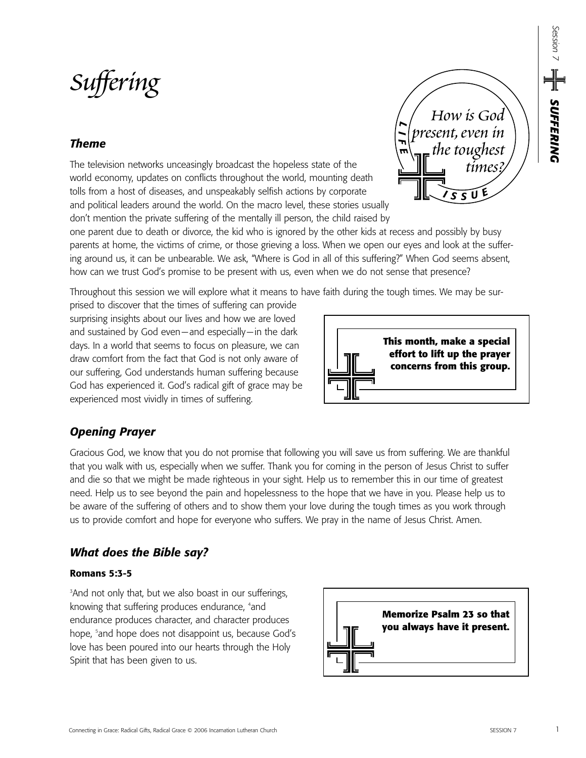# *Suffering*

## *Theme*

The television networks unceasingly broadcast the hopeless state of the world economy, updates on conflicts throughout the world, mounting death tolls from a host of diseases, and unspeakably selfish actions by corporate and political leaders around the world. On the macro level, these stories usually don't mention the private suffering of the mentally ill person, the child raised by

one parent due to death or divorce, the kid who is ignored by the other kids at recess and possibly by busy parents at home, the victims of crime, or those grieving a loss. When we open our eyes and look at the suffering around us, it can be unbearable. We ask, "Where is God in all of this suffering?" When God seems absent, how can we trust God's promise to be present with us, even when we do not sense that presence?

Throughout this session we will explore what it means to have faith during the tough times. We may be sur-

prised to discover that the times of suffering can provide surprising insights about our lives and how we are loved and sustained by God even—and especially—in the dark days. In a world that seems to focus on pleasure, we can draw comfort from the fact that God is not only aware of our suffering, God understands human suffering because God has experienced it. God's radical gift of grace may be experienced most vividly in times of suffering.

# *Opening Prayer*

Gracious God, we know that you do not promise that following you will save us from suffering. We are thankful that you walk with us, especially when we suffer. Thank you for coming in the person of Jesus Christ to suffer and die so that we might be made righteous in your sight. Help us to remember this in our time of greatest need. Help us to see beyond the pain and hopelessness to the hope that we have in you. Please help us to be aware of the suffering of others and to show them your love during the tough times as you work through us to provide comfort and hope for everyone who suffers. We pray in the name of Jesus Christ. Amen.

# *What does the Bible say?*

## **Romans 5:3-5**

3 And not only that, but we also boast in our sufferings, knowing that suffering produces endurance, 4 and endurance produces character, and character produces hope, <sup>5</sup>and hope does not disappoint us, because God's love has been poured into our hearts through the Holy Spirit that has been given to us.





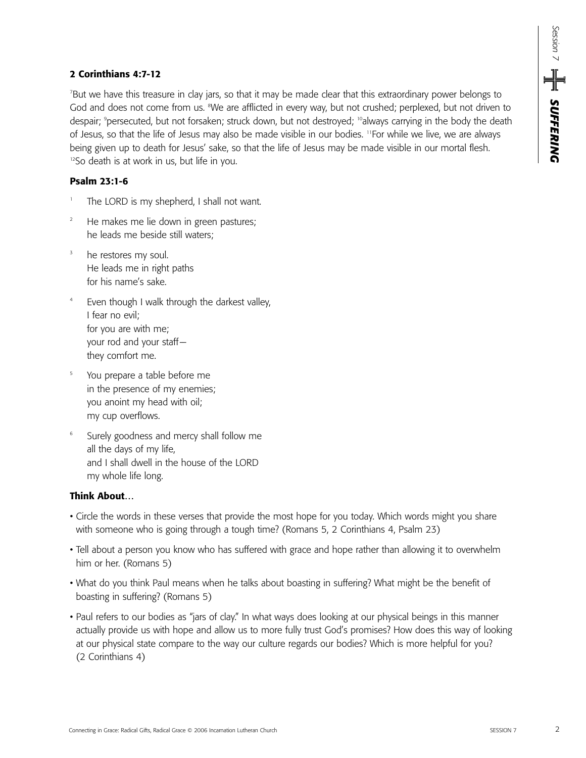## **2 Corinthians 4:7-12**

7 But we have this treasure in clay jars, so that it may be made clear that this extraordinary power belongs to God and does not come from us. <sup>a</sup>We are afflicted in every way, but not crushed; perplexed, but not driven to despair; <sup>9</sup>persecuted, but not forsaken; struck down, but not destroyed; <sup>10</sup>always carrying in the body the death of Jesus, so that the life of Jesus may also be made visible in our bodies. 11For while we live, we are always being given up to death for Jesus' sake, so that the life of Jesus may be made visible in our mortal flesh. <sup>12</sup>So death is at work in us, but life in you.

## **Psalm 23:1-6**

- The LORD is my shepherd, I shall not want.
- He makes me lie down in green pastures; he leads me beside still waters;
- <sup>3</sup> he restores my soul. He leads me in right paths for his name's sake.
- <sup>4</sup> Even though I walk through the darkest valley, I fear no evil; for you are with me; your rod and your staff they comfort me.
- You prepare a table before me in the presence of my enemies; you anoint my head with oil; my cup overflows.
- Surely goodness and mercy shall follow me all the days of my life, and I shall dwell in the house of the LORD my whole life long.

#### **Think About…**

- Circle the words in these verses that provide the most hope for you today. Which words might you share with someone who is going through a tough time? (Romans 5, 2 Corinthians 4, Psalm 23)
- Tell about a person you know who has suffered with grace and hope rather than allowing it to overwhelm him or her. (Romans 5)
- What do you think Paul means when he talks about boasting in suffering? What might be the benefit of boasting in suffering? (Romans 5)
- Paul refers to our bodies as "jars of clay." In what ways does looking at our physical beings in this manner actually provide us with hope and allow us to more fully trust God's promises? How does this way of looking at our physical state compare to the way our culture regards our bodies? Which is more helpful for you? (2 Corinthians 4)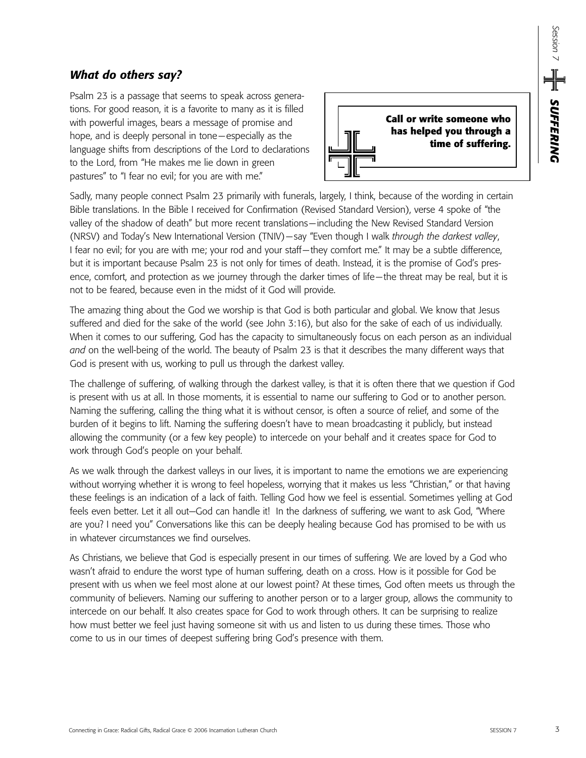## *What do others say?*

Psalm 23 is a passage that seems to speak across generations. For good reason, it is a favorite to many as it is filled with powerful images, bears a message of promise and hope, and is deeply personal in tone—especially as the language shifts from descriptions of the Lord to declarations to the Lord, from "He makes me lie down in green pastures" to "I fear no evil; for you are with me."



Sadly, many people connect Psalm 23 primarily with funerals, largely, I think, because of the wording in certain Bible translations. In the Bible I received for Confirmation (Revised Standard Version), verse 4 spoke of "the valley of the shadow of death" but more recent translations—including the New Revised Standard Version (NRSV) and Today's New International Version (TNIV)—say "Even though I walk *through the darkest valley*, I fear no evil; for you are with me; your rod and your staff—they comfort me." It may be a subtle difference, but it is important because Psalm 23 is not only for times of death. Instead, it is the promise of God's presence, comfort, and protection as we journey through the darker times of life—the threat may be real, but it is not to be feared, because even in the midst of it God will provide.

The amazing thing about the God we worship is that God is both particular and global. We know that Jesus suffered and died for the sake of the world (see John 3:16), but also for the sake of each of us individually. When it comes to our suffering, God has the capacity to simultaneously focus on each person as an individual *and* on the well-being of the world. The beauty of Psalm 23 is that it describes the many different ways that God is present with us, working to pull us through the darkest valley.

The challenge of suffering, of walking through the darkest valley, is that it is often there that we question if God is present with us at all. In those moments, it is essential to name our suffering to God or to another person. Naming the suffering, calling the thing what it is without censor, is often a source of relief, and some of the burden of it begins to lift. Naming the suffering doesn't have to mean broadcasting it publicly, but instead allowing the community (or a few key people) to intercede on your behalf and it creates space for God to work through God's people on your behalf.

As we walk through the darkest valleys in our lives, it is important to name the emotions we are experiencing without worrying whether it is wrong to feel hopeless, worrying that it makes us less "Christian," or that having these feelings is an indication of a lack of faith. Telling God how we feel is essential. Sometimes yelling at God feels even better. Let it all out—God can handle it! In the darkness of suffering, we want to ask God, "Where are you? I need you" Conversations like this can be deeply healing because God has promised to be with us in whatever circumstances we find ourselves.

As Christians, we believe that God is especially present in our times of suffering. We are loved by a God who wasn't afraid to endure the worst type of human suffering, death on a cross. How is it possible for God be present with us when we feel most alone at our lowest point? At these times, God often meets us through the community of believers. Naming our suffering to another person or to a larger group, allows the community to intercede on our behalf. It also creates space for God to work through others. It can be surprising to realize how must better we feel just having someone sit with us and listen to us during these times. Those who come to us in our times of deepest suffering bring God's presence with them.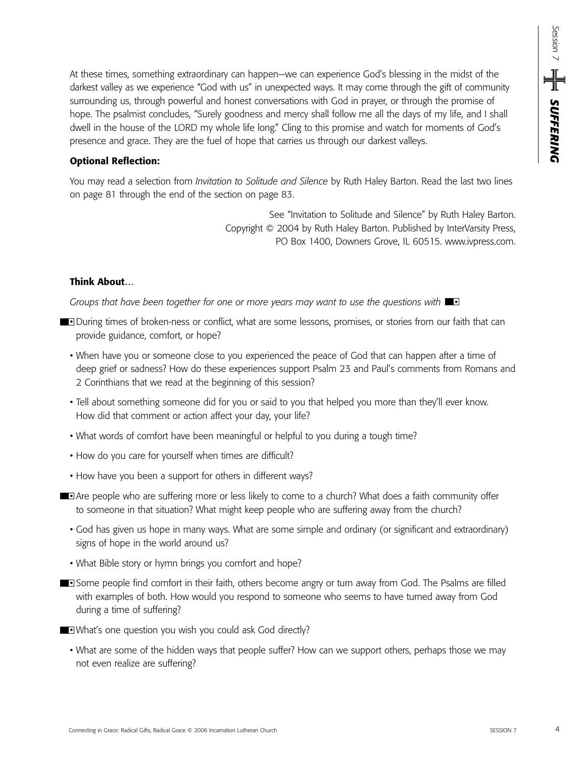At these times, something extraordinary can happen—we can experience God's blessing in the midst of the darkest valley as we experience "God with us" in unexpected ways. It may come through the gift of community surrounding us, through powerful and honest conversations with God in prayer, or through the promise of hope. The psalmist concludes, "Surely goodness and mercy shall follow me all the days of my life, and I shall dwell in the house of the LORD my whole life long." Cling to this promise and watch for moments of God's presence and grace. They are the fuel of hope that carries us through our darkest valleys.

#### **Optional Reflection:**

You may read a selection from *Invitation to Solitude and Silence* by Ruth Haley Barton. Read the last two lines on page 81 through the end of the section on page 83.

> See "Invitation to Solitude and Silence" by Ruth Haley Barton. Copyright © 2004 by Ruth Haley Barton. Published by InterVarsity Press, PO Box 1400, Downers Grove, IL 60515. www.ivpress.com.

#### **Think About…**

Groups that have been together for one or more years may want to use the questions with  $\blacksquare$ 

- **During times of broken-ness or conflict, what are some lessons, promises, or stories from our faith that can** provide guidance, comfort, or hope?
	- When have you or someone close to you experienced the peace of God that can happen after a time of deep grief or sadness? How do these experiences support Psalm 23 and Paul's comments from Romans and 2 Corinthians that we read at the beginning of this session?
	- Tell about something someone did for you or said to you that helped you more than they'll ever know. How did that comment or action affect your day, your life?
	- What words of comfort have been meaningful or helpful to you during a tough time?
	- How do you care for yourself when times are difficult?
	- How have you been a support for others in different ways?
- Are people who are suffering more or less likely to come to a church? What does a faith community offer to someone in that situation? What might keep people who are suffering away from the church?
	- God has given us hope in many ways. What are some simple and ordinary (or significant and extraordinary) signs of hope in the world around us?
	- What Bible story or hymn brings you comfort and hope?
- **Some people find comfort in their faith, others become angry or turn away from God. The Psalms are filled** with examples of both. How would you respond to someone who seems to have turned away from God during a time of suffering?
- What's one question you wish you could ask God directly?
	- What are some of the hidden ways that people suffer? How can we support others, perhaps those we may not even realize are suffering?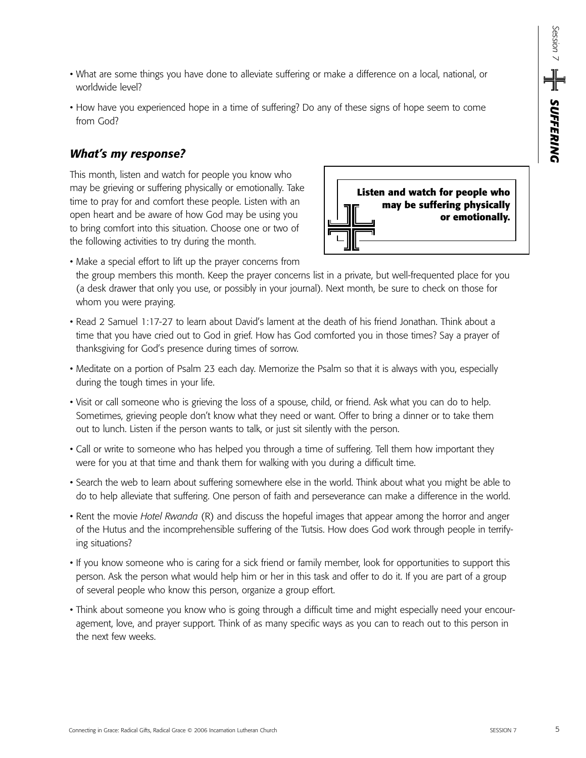- What are some things you have done to alleviate suffering or make a difference on a local, national, or worldwide level?
- How have you experienced hope in a time of suffering? Do any of these signs of hope seem to come from God?

## *What's my response?*

This month, listen and watch for people you know who may be grieving or suffering physically or emotionally. Take time to pray for and comfort these people. Listen with an open heart and be aware of how God may be using you to bring comfort into this situation. Choose one or two of the following activities to try during the month.



• Make a special effort to lift up the prayer concerns from

the group members this month. Keep the prayer concerns list in a private, but well-frequented place for you (a desk drawer that only you use, or possibly in your journal). Next month, be sure to check on those for whom you were praying.

- Read 2 Samuel 1:17-27 to learn about David's lament at the death of his friend Jonathan. Think about a time that you have cried out to God in grief. How has God comforted you in those times? Say a prayer of thanksgiving for God's presence during times of sorrow.
- Meditate on a portion of Psalm 23 each day. Memorize the Psalm so that it is always with you, especially during the tough times in your life.
- Visit or call someone who is grieving the loss of a spouse, child, or friend. Ask what you can do to help. Sometimes, grieving people don't know what they need or want. Offer to bring a dinner or to take them out to lunch. Listen if the person wants to talk, or just sit silently with the person.
- Call or write to someone who has helped you through a time of suffering. Tell them how important they were for you at that time and thank them for walking with you during a difficult time.
- Search the web to learn about suffering somewhere else in the world. Think about what you might be able to do to help alleviate that suffering. One person of faith and perseverance can make a difference in the world.
- Rent the movie *Hotel Rwanda* (R) and discuss the hopeful images that appear among the horror and anger of the Hutus and the incomprehensible suffering of the Tutsis. How does God work through people in terrifying situations?
- If you know someone who is caring for a sick friend or family member, look for opportunities to support this person. Ask the person what would help him or her in this task and offer to do it. If you are part of a group of several people who know this person, organize a group effort.
- Think about someone you know who is going through a difficult time and might especially need your encouragement, love, and prayer support. Think of as many specific ways as you can to reach out to this person in the next few weeks.